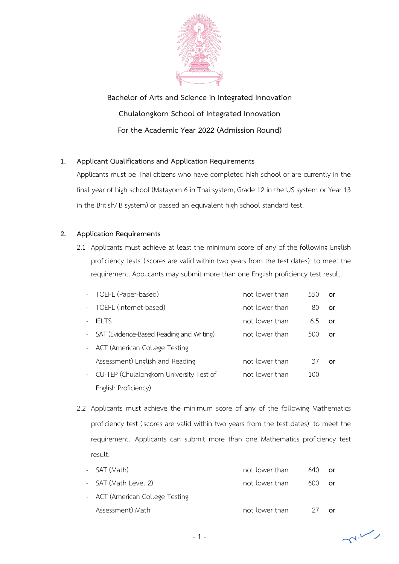

**Bachelor of Arts and Science in Integrated Innovation Chulalongkorn School of Integrated Innovation For the Academic Year 2022 (Admission Round)**

# **1. Applicant Qualifications and Application Requirements**

Applicants must be Thai citizens who have completed high school or are currently in the final year of high school (Matayom 6 in Thai system, Grade 12 in the US system or Year 13 in the British/IB system) or passed an equivalent high school standard test.

## **2. Application Requirements**

2.1 Applicants must achieve at least the minimum score of any of the following English proficiency tests (scores are valid within two years from the test dates) to meet the requirement. Applicants may submit more than one English proficiency test result.

|                     | - TOEFL (Paper-based)                      | not lower than | 550 | or |
|---------------------|--------------------------------------------|----------------|-----|----|
| $\sim$ $^{-1}$      | TOEFL (Internet-based)                     | not lower than | 80  | or |
|                     | <b>IELTS</b>                               | not lower than | 6.5 | or |
|                     | - SAT (Evidence-Based Reading and Writing) | not lower than | 500 | or |
|                     | - ACT (American College Testing            |                |     |    |
|                     | Assessment) English and Reading            | not lower than | 37  | or |
| $\omega_{\rm{max}}$ | CU-TEP (Chulalongkorn University Test of   | not lower than | 100 |    |
|                     | English Proficiency)                       |                |     |    |

2.2 Applicants must achieve the minimum score of any of the following Mathematics proficiency test (scores are valid within two years from the test dates) to meet the requirement. Applicants can submit more than one Mathematics proficiency test result.

| - SAT (Math)                    | not lower than | 640 | or |
|---------------------------------|----------------|-----|----|
| - SAT (Math Level 2)            | not lower than | 600 | or |
| - ACT (American College Testing |                |     |    |
| Assessment) Math                | not lower than | 27  | Ωr |

 $\sim$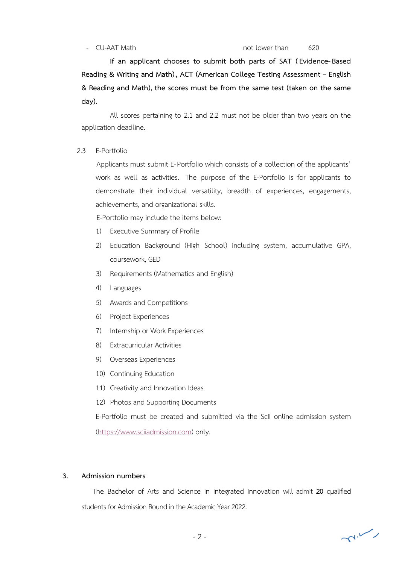#### - CU-AAT Math not lower than 620

 **If an applicant chooses to submit both parts of SAT (Evidence-Based Reading & Writing and Math), ACT (American College Testing Assessment – English & Reading and Math), the scores must be from the same test (taken on the same day).** 

All scores pertaining to 2.1 and 2.2 must not be older than two years on the application deadline.

#### 2.3 E-Portfolio

Applicants must submit E-Portfolio which consists of a collection of the applicants' work as well as activities. The purpose of the E-Portfolio is for applicants to demonstrate their individual versatility, breadth of experiences, engagements, achievements, and organizational skills.

E-Portfolio may include the items below:

- 1) Executive Summary of Profile
- 2) Education Background (High School) including system, accumulative GPA, coursework, GED
- 3) Requirements (Mathematics and English)
- 4) Languages
- 5) Awards and Competitions
- 6) Project Experiences
- 7) Internship or Work Experiences
- 8) Extracurricular Activities
- 9) Overseas Experiences
- 10) Continuing Education
- 11) Creativity and Innovation Ideas
- 12) Photos and Supporting Documents

E-Portfolio must be created and submitted via the ScII online admission system

(https://www.sciiadmission.com) only.

#### **3. Admission numbers**

 The Bachelor of Arts and Science in Integrated Innovation will admit **20** qualified students for Admission Round in the Academic Year 2022.

 $\sim$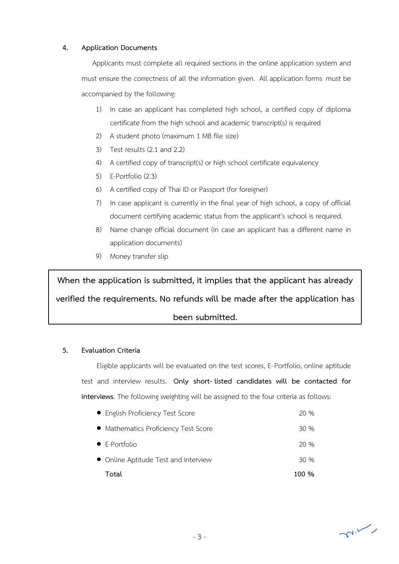### **4. Application Documents**

 Applicants must complete all required sections in the online application system and must ensure the correctness of all the information given. All application forms must be accompanied by the following:

- 1) In case an applicant has completed high school, a certified copy of diploma certificate from the high school and academic transcript(s) is required
- 2) A student photo (maximum 1 MB file size)
- 3) Test results (2.1 and 2.2)
- 4) A certified copy of transcript(s) or high school certificate equivalency
- 5) E-Portfolio (2.3)
- 6) A certified copy of Thai ID or Passport (for foreigner)
- 7) In case applicant is currently in the final year of high school, a copy of official document certifying academic status from the applicant's school is required.
- 8) Name change official document (in case an applicant has a different name in application documents)
- 9) Money transfer slip

**When the application is submitted, it implies that the applicant has already verified the requirements. No refunds will be made after the application has been submitted.**

## **5. Evaluation Criteria**

Eligible applicants will be evaluated on the test scores, E-Portfolio, online aptitude test and interview results. **Only short- listed candidates will be contacted for interviews**. The following weighting will be assigned to the four criteria as follows:

| • English Proficiency Test Score     | 20 %  |
|--------------------------------------|-------|
| • Mathematics Proficiency Test Score | 30%   |
| $\bullet$ E-Portfolio                | 20%   |
| • Online Aptitude Test and Interview | 30%   |
| Total                                | 100 % |

 $\sim$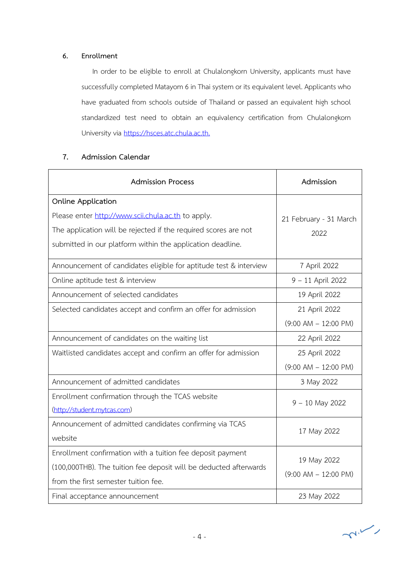### **6. Enrollment**

 In order to be eligible to enroll at Chulalongkorn University, applicants must have successfully completed Matayom 6 in Thai system or its equivalent level. Applicants who have graduated from schools outside of Thailand or passed an equivalent high school standardized test need to obtain an equivalency certification from Chulalongkorn University via https://hsces.atc.chula.ac.th.

# **7. Admission Calendar**

| <b>Admission Process</b>                                                                                                                                                | Admission                               |  |
|-------------------------------------------------------------------------------------------------------------------------------------------------------------------------|-----------------------------------------|--|
| <b>Online Application</b><br>Please enter http://www.scii.chula.ac.th to apply.                                                                                         |                                         |  |
| The application will be rejected if the required scores are not<br>submitted in our platform within the application deadline.                                           | 21 February - 31 March<br>2022          |  |
| Announcement of candidates eligible for aptitude test & interview                                                                                                       | 7 April 2022                            |  |
| Online aptitude test & interview                                                                                                                                        | 9 - 11 April 2022                       |  |
| Announcement of selected candidates                                                                                                                                     | 19 April 2022                           |  |
| Selected candidates accept and confirm an offer for admission                                                                                                           | 21 April 2022                           |  |
|                                                                                                                                                                         | $(9:00$ AM $- 12:00$ PM)                |  |
| Announcement of candidates on the waiting list                                                                                                                          | 22 April 2022                           |  |
| Waitlisted candidates accept and confirm an offer for admission                                                                                                         | 25 April 2022                           |  |
|                                                                                                                                                                         | $(9:00$ AM $- 12:00$ PM)                |  |
| Announcement of admitted candidates                                                                                                                                     | 3 May 2022                              |  |
| Enrollment confirmation through the TCAS website<br>(http://student.mytcas.com)                                                                                         | $9 - 10$ May 2022                       |  |
| Announcement of admitted candidates confirming via TCAS<br>website                                                                                                      | 17 May 2022                             |  |
| Enrollment confirmation with a tuition fee deposit payment<br>(100,000THB). The tuition fee deposit will be deducted afterwards<br>from the first semester tuition fee. | 19 May 2022<br>$(9:00$ AM $- 12:00$ PM) |  |
| Final acceptance announcement                                                                                                                                           | 23 May 2022                             |  |

 $\neg n \vee n$